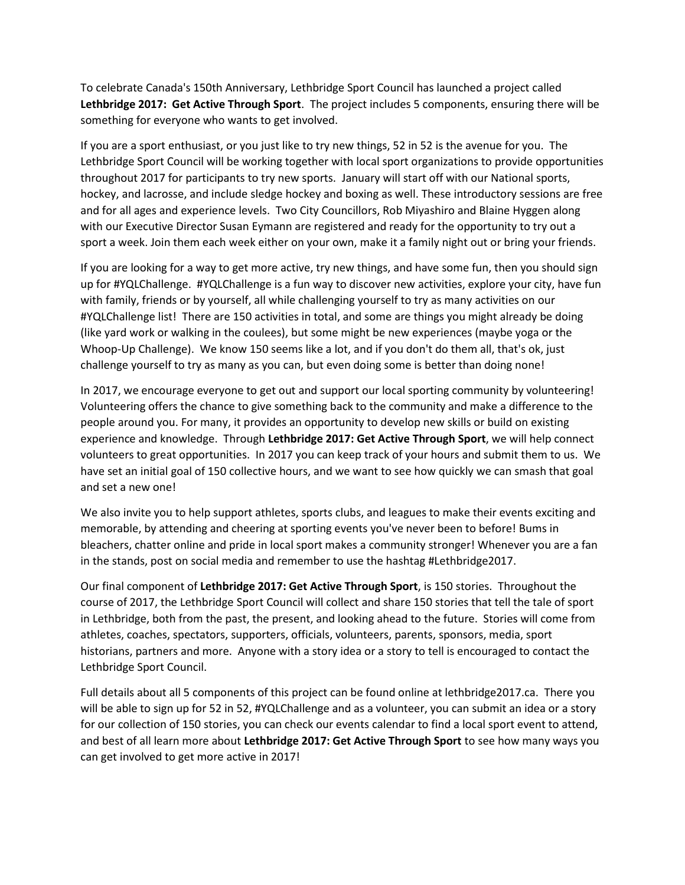To celebrate Canada's 150th Anniversary, Lethbridge Sport Council has launched a project called **Lethbridge 2017: Get Active Through Sport**. The project includes 5 components, ensuring there will be something for everyone who wants to get involved.

If you are a sport enthusiast, or you just like to try new things, 52 in 52 is the avenue for you. The Lethbridge Sport Council will be working together with local sport organizations to provide opportunities throughout 2017 for participants to try new sports. January will start off with our National sports, hockey, and lacrosse, and include sledge hockey and boxing as well. These introductory sessions are free and for all ages and experience levels. Two City Councillors, Rob Miyashiro and Blaine Hyggen along with our Executive Director Susan Eymann are registered and ready for the opportunity to try out a sport a week. Join them each week either on your own, make it a family night out or bring your friends.

If you are looking for a way to get more active, try new things, and have some fun, then you should sign up for #YQLChallenge. #YQLChallenge is a fun way to discover new activities, explore your city, have fun with family, friends or by yourself, all while challenging yourself to try as many activities on our #YQLChallenge list! There are 150 activities in total, and some are things you might already be doing (like yard work or walking in the coulees), but some might be new experiences (maybe yoga or the Whoop-Up Challenge). We know 150 seems like a lot, and if you don't do them all, that's ok, just challenge yourself to try as many as you can, but even doing some is better than doing none!

In 2017, we encourage everyone to get out and support our local sporting community by volunteering! Volunteering offers the chance to give something back to the community and make a difference to the people around you. For many, it provides an opportunity to develop new skills or build on existing experience and knowledge. Through **Lethbridge 2017: Get Active Through Sport**, we will help connect volunteers to great opportunities. In 2017 you can keep track of your hours and submit them to us. We have set an initial goal of 150 collective hours, and we want to see how quickly we can smash that goal and set a new one!

We also invite you to help support athletes, sports clubs, and leagues to make their events exciting and memorable, by attending and cheering at sporting events you've never been to before! Bums in bleachers, chatter online and pride in local sport makes a community stronger! Whenever you are a fan in the stands, post on social media and remember to use the hashtag #Lethbridge2017.

Our final component of **Lethbridge 2017: Get Active Through Sport**, is 150 stories. Throughout the course of 2017, the Lethbridge Sport Council will collect and share 150 stories that tell the tale of sport in Lethbridge, both from the past, the present, and looking ahead to the future. Stories will come from athletes, coaches, spectators, supporters, officials, volunteers, parents, sponsors, media, sport historians, partners and more. Anyone with a story idea or a story to tell is encouraged to contact the Lethbridge Sport Council.

Full details about all 5 components of this project can be found online at lethbridge2017.ca. There you will be able to sign up for 52 in 52, #YQLChallenge and as a volunteer, you can submit an idea or a story for our collection of 150 stories, you can check our events calendar to find a local sport event to attend, and best of all learn more about **Lethbridge 2017: Get Active Through Sport** to see how many ways you can get involved to get more active in 2017!